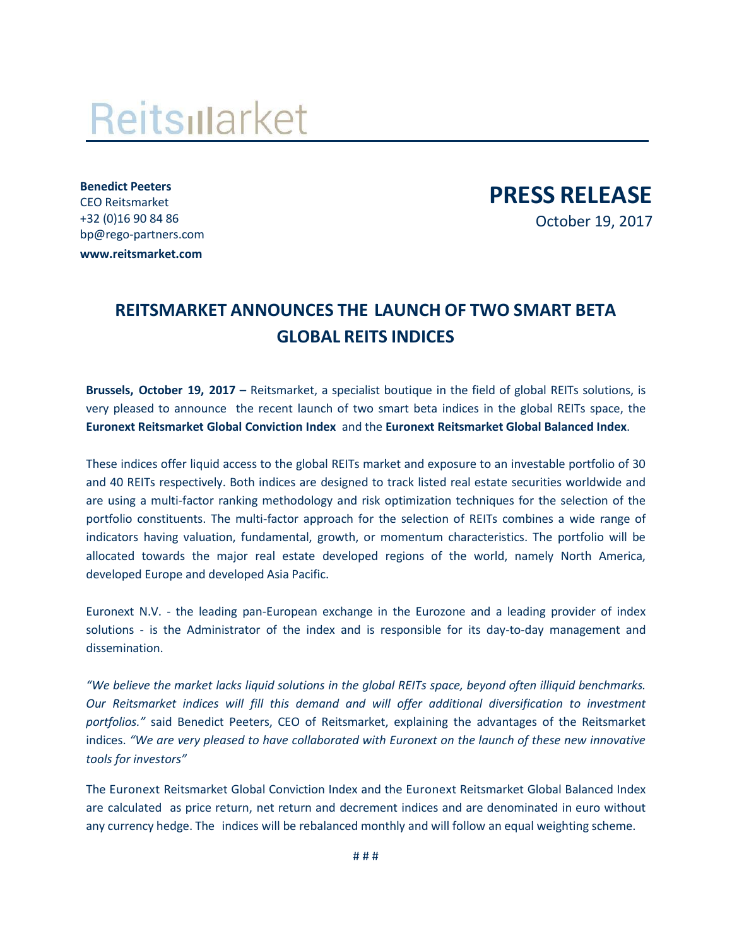## Reitsillarket

**Benedict Peeters** CEO Reitsmarket +32 (0)16 90 84 86 [bp@rego-partners.com](mailto:bp@rego-partners.com) **[www.reitsmarket.com](http://www.reitsmarket.com/)**

**PRESS RELEASE**

October 19, 2017

## **REITSMARKET ANNOUNCES THE LAUNCH OF TWO SMART BETA GLOBAL REITS INDICES**

**Brussels, October 19, 2017 –** Reitsmarket, a specialist boutique in the field of global REITs solutions, is very pleased to announce the recent launch of two smart beta indices in the global REITs space, the **Euronext Reitsmarket Global Conviction Index** and the **Euronext Reitsmarket Global Balanced Index**.

These indices offer liquid access to the global REITs market and exposure to an investable portfolio of 30 and 40 REITs respectively. Both indices are designed to track listed real estate securities worldwide and are using a multi-factor ranking methodology and risk optimization techniques for the selection of the portfolio constituents. The multi-factor approach for the selection of REITs combines a wide range of indicators having valuation, fundamental, growth, or momentum characteristics. The portfolio will be allocated towards the major real estate developed regions of the world, namely North America, developed Europe and developed Asia Pacific.

Euronext N.V. - the leading pan-European exchange in the Eurozone and a leading provider of index solutions - is the Administrator of the index and is responsible for its day-to-day management and dissemination.

*"We believe the market lacks liquid solutions in the global REITs space, beyond often illiquid benchmarks. Our Reitsmarket indices will fill this demand and will offer additional diversification to investment portfolios."* said Benedict Peeters, CEO of Reitsmarket, explaining the advantages of the Reitsmarket indices. *"We are very pleased to have collaborated with Euronext on the launch of these new innovative tools for investors"*

The Euronext Reitsmarket Global Conviction Index and the Euronext Reitsmarket Global Balanced Index are calculated as price return, net return and decrement indices and are denominated in euro without any currency hedge. The indices will be rebalanced monthly and will follow an equal weighting scheme.